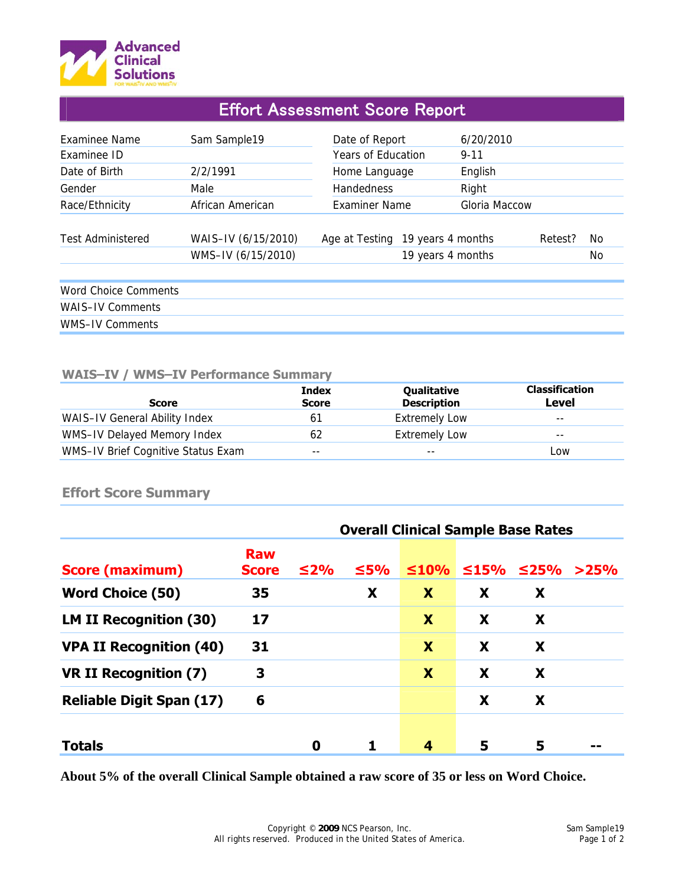

# Effort Assessment Score Report

| <b>Fxaminee Name</b>        | Sam Sample19                              | Date of Report                   | 6/20/2010         |         |           |
|-----------------------------|-------------------------------------------|----------------------------------|-------------------|---------|-----------|
| Examinee ID                 |                                           | <b>Years of Education</b>        | $9 - 11$          |         |           |
| Date of Birth               | 2/2/1991                                  | Home Language                    | English           |         |           |
| Gender                      | Male                                      | Handedness                       | Right             |         |           |
| Race/Ethnicity              | African American                          | Examiner Name                    | Gloria Maccow     |         |           |
| <b>Test Administered</b>    | WAIS-IV (6/15/2010)<br>WMS-IV (6/15/2010) | Age at Testing 19 years 4 months | 19 years 4 months | Retest? | No.<br>No |
| <b>Word Choice Comments</b> |                                           |                                  |                   |         |           |
| <b>WAIS-IV Comments</b>     |                                           |                                  |                   |         |           |
| WMS-IV Comments             |                                           |                                  |                   |         |           |

#### **WAIS–IV / WMS–IV Performance Summary**

| <b>Score</b>                       | <b>Index</b><br><b>Score</b> | Qualitative<br><b>Description</b> | <b>Classification</b><br>Level |
|------------------------------------|------------------------------|-----------------------------------|--------------------------------|
| WAIS-IV General Ability Index      | 61                           | <b>Extremely Low</b>              | $- -$                          |
| WMS-IV Delayed Memory Index        | 62                           | <b>Extremely Low</b>              | $- -$                          |
| WMS-IV Brief Cognitive Status Exam | $- -$                        | $- -$                             | Low                            |

### **Effort Score Summary**

|                                 | <b>Overall Clinical Sample Base Rates</b> |           |            |             |            |            |      |
|---------------------------------|-------------------------------------------|-----------|------------|-------------|------------|------------|------|
| <b>Score (maximum)</b>          | <b>Raw</b><br><b>Score</b>                | $\leq$ 2% | $\leq 5\%$ | $\leq 10\%$ | $\leq$ 15% | $\leq$ 25% | >25% |
| <b>Word Choice (50)</b>         | 35                                        |           | X          | X           | X          | X          |      |
| <b>LM II Recognition (30)</b>   | 17                                        |           |            | X           | X          | X          |      |
| <b>VPA II Recognition (40)</b>  | 31                                        |           |            | X           | X          | X          |      |
| <b>VR II Recognition (7)</b>    | 3                                         |           |            | X           | X          | X          |      |
| <b>Reliable Digit Span (17)</b> | 6                                         |           |            |             | X          | X          |      |
| <b>Totals</b>                   |                                           | 0         |            | 4           | 5          | 5          |      |

**About 5% of the overall Clinical Sample obtained a raw score of 35 or less on Word Choice.**